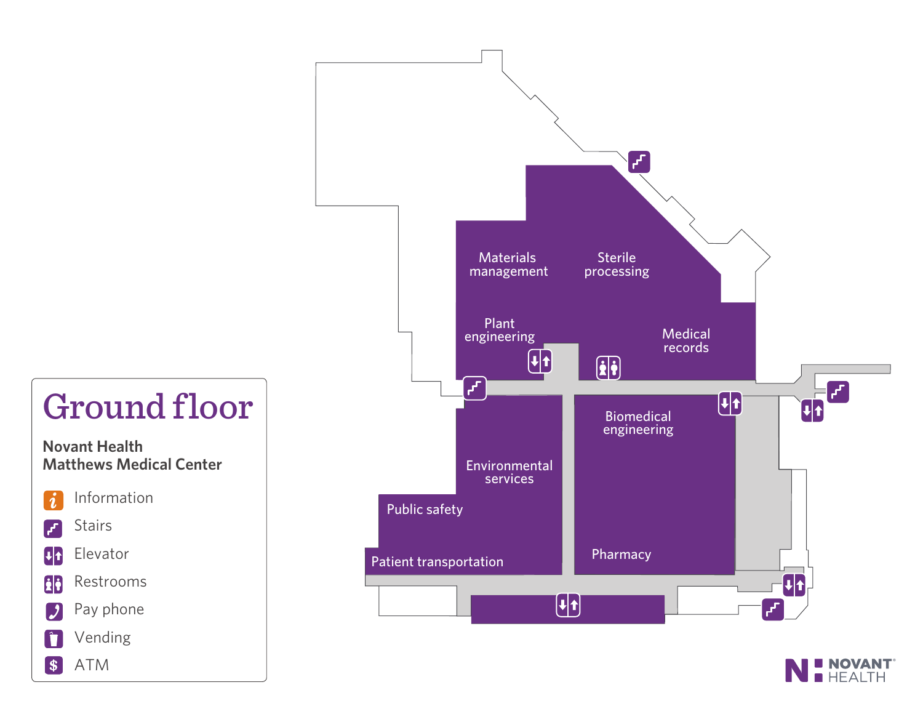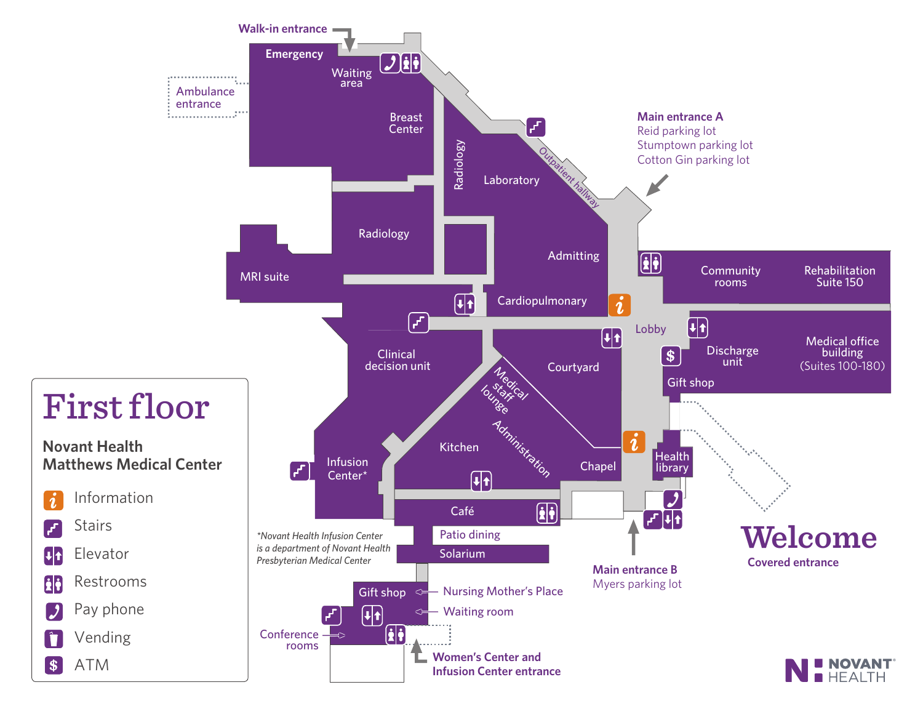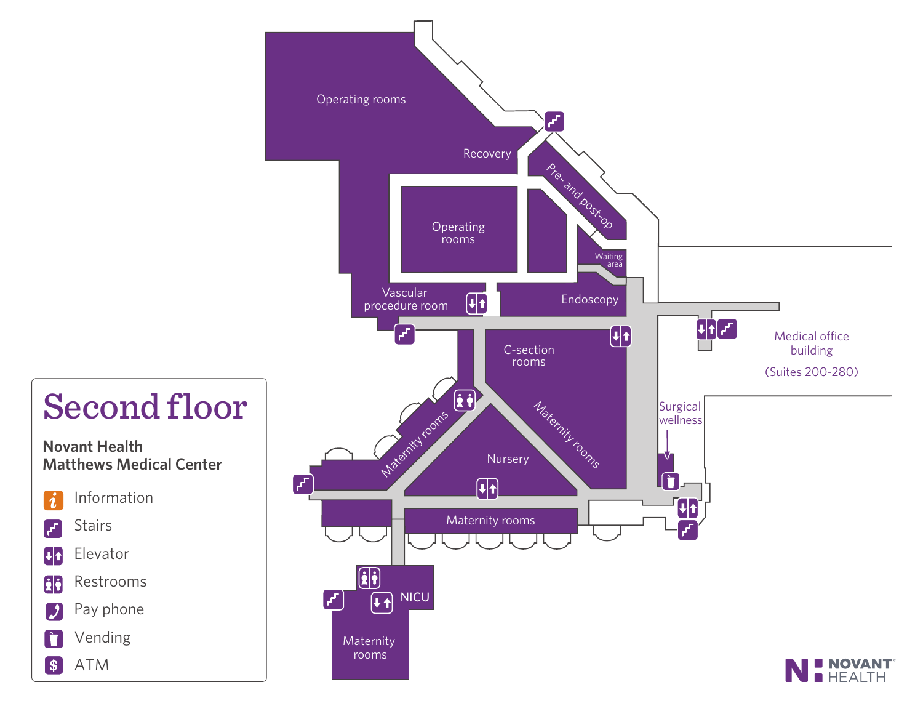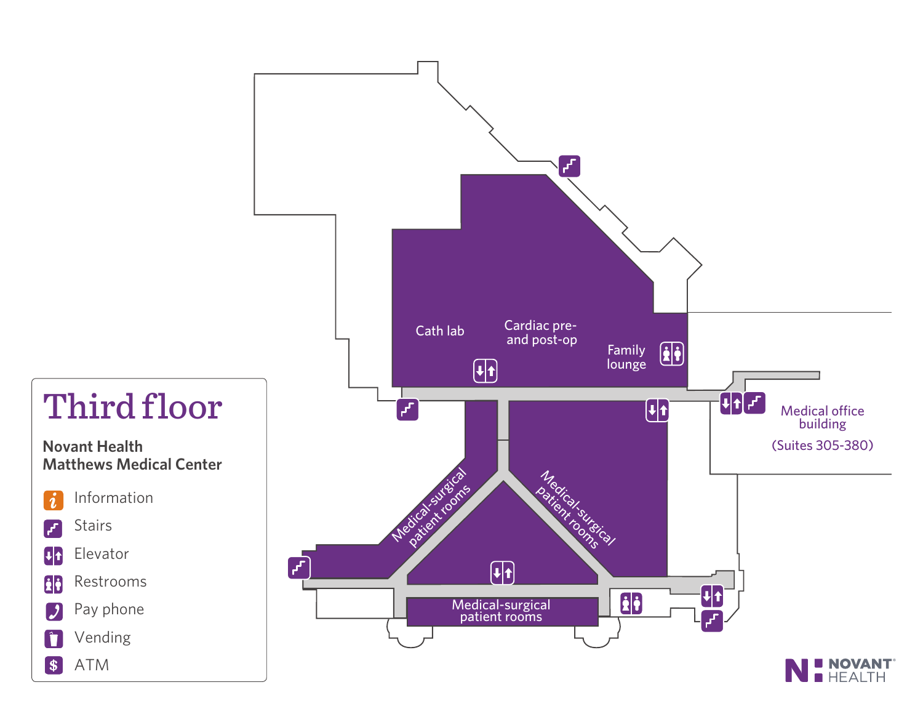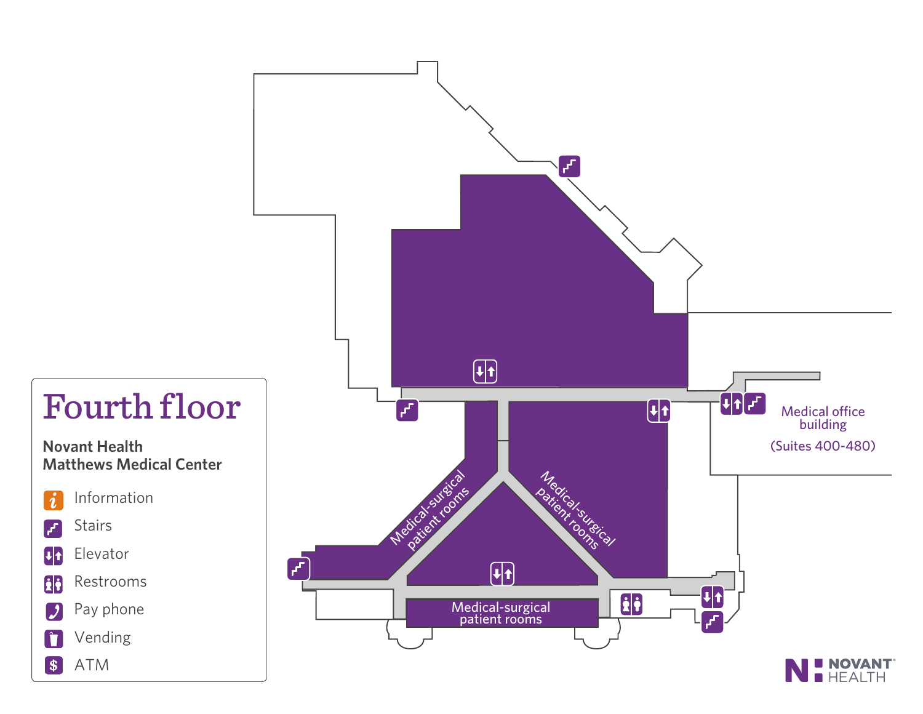